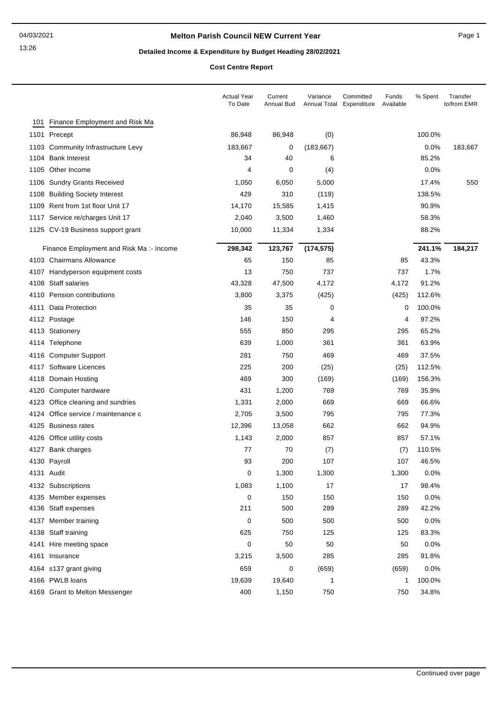## **Melton Parish Council NEW Current Year** Page 1

# **Detailed Income & Expenditure by Budget Heading 28/02/2021**

**Cost Centre Report**

|      |                                         | <b>Actual Year</b><br>To Date | Current<br>Annual Bud | Variance<br>Annual Total | Committed<br>Expenditure | Funds<br>Available | % Spent | Transfer<br>to/from EMR |
|------|-----------------------------------------|-------------------------------|-----------------------|--------------------------|--------------------------|--------------------|---------|-------------------------|
| 101  | Finance Employment and Risk Ma          |                               |                       |                          |                          |                    |         |                         |
|      | 1101 Precept                            | 86,948                        | 86,948                | (0)                      |                          |                    | 100.0%  |                         |
|      | 1103 Community Infrastructure Levy      | 183,667                       | 0                     | (183, 667)               |                          |                    | 0.0%    | 183,667                 |
|      | 1104 Bank Interest                      | 34                            | 40                    | 6                        |                          |                    | 85.2%   |                         |
|      | 1105 Other Income                       | 4                             | 0                     | (4)                      |                          |                    | 0.0%    |                         |
|      | 1106 Sundry Grants Received             | 1,050                         | 6,050                 | 5,000                    |                          |                    | 17.4%   | 550                     |
| 1108 | <b>Building Society Interest</b>        | 429                           | 310                   | (119)                    |                          |                    | 138.5%  |                         |
| 1109 | Rent from 1st floor Unit 17             | 14,170                        | 15,585                | 1,415                    |                          |                    | 90.9%   |                         |
|      | 1117 Service re/charges Unit 17         | 2,040                         | 3,500                 | 1,460                    |                          |                    | 58.3%   |                         |
|      | 1125 CV-19 Business support grant       | 10,000                        | 11,334                | 1,334                    |                          |                    | 88.2%   |                         |
|      | Finance Employment and Risk Ma:- Income | 298,342                       | 123,767               | (174, 575)               |                          |                    | 241.1%  | 184,217                 |
|      | 4103 Chairmans Allowance                | 65                            | 150                   | 85                       |                          | 85                 | 43.3%   |                         |
|      | 4107 Handyperson equipment costs        | 13                            | 750                   | 737                      |                          | 737                | 1.7%    |                         |
|      | 4108 Staff salaries                     | 43,328                        | 47,500                | 4,172                    |                          | 4,172              | 91.2%   |                         |
|      | 4110 Pension contributions              | 3,800                         | 3,375                 | (425)                    |                          | (425)              | 112.6%  |                         |
| 4111 | Data Protection                         | 35                            | 35                    | 0                        |                          | 0                  | 100.0%  |                         |
|      | 4112 Postage                            | 146                           | 150                   | 4                        |                          | 4                  | 97.2%   |                         |
|      | 4113 Stationery                         | 555                           | 850                   | 295                      |                          | 295                | 65.2%   |                         |
|      | 4114 Telephone                          | 639                           | 1,000                 | 361                      |                          | 361                | 63.9%   |                         |
|      | 4116 Computer Support                   | 281                           | 750                   | 469                      |                          | 469                | 37.5%   |                         |
|      | 4117 Software Licences                  | 225                           | 200                   | (25)                     |                          | (25)               | 112.5%  |                         |
|      | 4118 Domain Hosting                     | 469                           | 300                   | (169)                    |                          | (169)              | 156.3%  |                         |
|      | 4120 Computer hardware                  | 431                           | 1,200                 | 769                      |                          | 769                | 35.9%   |                         |
|      | 4123 Office cleaning and sundries       | 1,331                         | 2,000                 | 669                      |                          | 669                | 66.6%   |                         |
|      | 4124 Office service / maintenance c     | 2,705                         | 3,500                 | 795                      |                          | 795                | 77.3%   |                         |
|      | 4125 Business rates                     | 12,396                        | 13,058                | 662                      |                          | 662                | 94.9%   |                         |
|      | 4126 Office utility costs               | 1,143                         | 2,000                 | 857                      |                          | 857                | 57.1%   |                         |
|      | 4127 Bank charges                       | 77                            | 70                    | (7)                      |                          | (7)                | 110.5%  |                         |
|      | 4130 Payroll                            | 93                            | 200                   | 107                      |                          | 107                | 46.5%   |                         |
|      | 4131 Audit                              | 0                             | 1,300                 | 1,300                    |                          | 1,300              | 0.0%    |                         |
|      | 4132 Subscriptions                      | 1,083                         | 1,100                 | 17                       |                          | 17                 | 98.4%   |                         |
|      | 4135 Member expenses                    | 0                             | 150                   | 150                      |                          | 150                | 0.0%    |                         |
|      | 4136 Staff expenses                     | 211                           | 500                   | 289                      |                          | 289                | 42.2%   |                         |
|      | 4137 Member training                    | 0                             | 500                   | 500                      |                          | 500                | 0.0%    |                         |
|      | 4138 Staff training                     | 625                           | 750                   | 125                      |                          | 125                | 83.3%   |                         |
|      | 4141 Hire meeting space                 | 0                             | 50                    | 50                       |                          | 50                 | 0.0%    |                         |
|      | 4161 Insurance                          | 3,215                         | 3,500                 | 285                      |                          | 285                | 91.8%   |                         |
|      | 4164 s137 grant giving                  | 659                           | 0                     | (659)                    |                          | (659)              | 0.0%    |                         |
|      | 4166 PWLB loans                         | 19,639                        | 19,640                | 1                        |                          | 1                  | 100.0%  |                         |
|      | 4169 Grant to Melton Messenger          | 400                           | 1,150                 | 750                      |                          | 750                | 34.8%   |                         |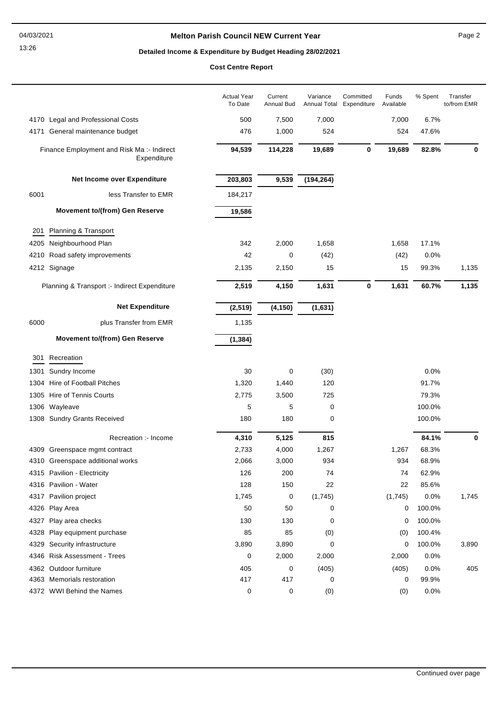## **Melton Parish Council NEW Current Year** Page 2

# **Detailed Income & Expenditure by Budget Heading 28/02/2021**

**Cost Centre Report**

|      |                                                           | <b>Actual Year</b><br>To Date | Current<br>Annual Bud | Variance<br>Annual Total | Committed<br>Expenditure | Funds<br>Available | % Spent | Transfer<br>to/from EMR |
|------|-----------------------------------------------------------|-------------------------------|-----------------------|--------------------------|--------------------------|--------------------|---------|-------------------------|
|      | 4170 Legal and Professional Costs                         | 500                           | 7,500                 | 7,000                    |                          | 7,000              | 6.7%    |                         |
| 4171 | General maintenance budget                                | 476                           | 1,000                 | 524                      |                          | 524                | 47.6%   |                         |
|      | Finance Employment and Risk Ma :- Indirect<br>Expenditure | 94,539                        | 114,228               | 19,689                   | 0                        | 19,689             | 82.8%   | 0                       |
|      | Net Income over Expenditure                               | 203,803                       | 9,539                 | (194, 264)               |                          |                    |         |                         |
| 6001 | less Transfer to EMR                                      | 184,217                       |                       |                          |                          |                    |         |                         |
|      | <b>Movement to/(from) Gen Reserve</b>                     | 19,586                        |                       |                          |                          |                    |         |                         |
| 201  | Planning & Transport                                      |                               |                       |                          |                          |                    |         |                         |
| 4205 | Neighbourhood Plan                                        | 342                           | 2,000                 | 1,658                    |                          | 1,658              | 17.1%   |                         |
|      | 4210 Road safety improvements                             | 42                            | 0                     | (42)                     |                          | (42)               | 0.0%    |                         |
|      | 4212 Signage                                              | 2,135                         | 2,150                 | 15                       |                          | 15                 | 99.3%   | 1,135                   |
|      | Planning & Transport :- Indirect Expenditure              | 2,519                         | 4,150                 | 1,631                    | $\pmb{0}$                | 1,631              | 60.7%   | 1,135                   |
|      | <b>Net Expenditure</b>                                    | (2, 519)                      | (4, 150)              | (1,631)                  |                          |                    |         |                         |
| 6000 | plus Transfer from EMR                                    | 1,135                         |                       |                          |                          |                    |         |                         |
|      | <b>Movement to/(from) Gen Reserve</b>                     | (1, 384)                      |                       |                          |                          |                    |         |                         |
| 301  | Recreation                                                |                               |                       |                          |                          |                    |         |                         |
| 1301 | Sundry Income                                             | 30                            | 0                     | (30)                     |                          |                    | 0.0%    |                         |
| 1304 | Hire of Football Pitches                                  | 1,320                         | 1,440                 | 120                      |                          |                    | 91.7%   |                         |
|      | 1305 Hire of Tennis Courts                                | 2,775                         | 3,500                 | 725                      |                          |                    | 79.3%   |                         |
| 1306 | Wayleave                                                  | 5                             | 5                     | 0                        |                          |                    | 100.0%  |                         |
|      | 1308 Sundry Grants Received                               | 180                           | 180                   | 0                        |                          |                    | 100.0%  |                         |
|      | Recreation :- Income                                      | 4,310                         | 5,125                 | 815                      |                          |                    | 84.1%   | 0                       |
|      | 4309 Greenspace mgmt contract                             | 2,733                         | 4,000                 | 1,267                    |                          | 1,267              | 68.3%   |                         |
|      | 4310 Greenspace additional works                          | 2,066                         | 3,000                 | 934                      |                          | 934                | 68.9%   |                         |
|      | 4315 Pavilion - Electricity                               | 126                           | 200                   | 74                       |                          | 74                 | 62.9%   |                         |
|      | 4316 Pavilion - Water                                     | 128                           | 150                   | 22                       |                          | 22                 | 85.6%   |                         |
|      | 4317 Pavilion project                                     | 1,745                         | 0                     | (1,745)                  |                          | (1,745)            | 0.0%    | 1,745                   |
|      | 4326 Play Area                                            | 50                            | 50                    | 0                        |                          | 0                  | 100.0%  |                         |
| 4327 | Play area checks                                          | 130                           | 130                   | 0                        |                          | 0                  | 100.0%  |                         |
| 4328 | Play equipment purchase                                   | 85                            | 85                    | (0)                      |                          | (0)                | 100.4%  |                         |
| 4329 | Security infrastructure                                   | 3,890                         | 3,890                 | 0                        |                          | 0                  | 100.0%  | 3,890                   |
|      | 4346 Risk Assessment - Trees                              | 0                             | 2,000                 | 2,000                    |                          | 2,000              | 0.0%    |                         |
|      | 4362 Outdoor furniture                                    | 405                           | 0                     | (405)                    |                          | (405)              | 0.0%    | 405                     |
|      | 4363 Memorials restoration                                | 417                           | 417                   | 0                        |                          | 0                  | 99.9%   |                         |
|      | 4372 WWI Behind the Names                                 | 0                             | 0                     | (0)                      |                          | (0)                | 0.0%    |                         |